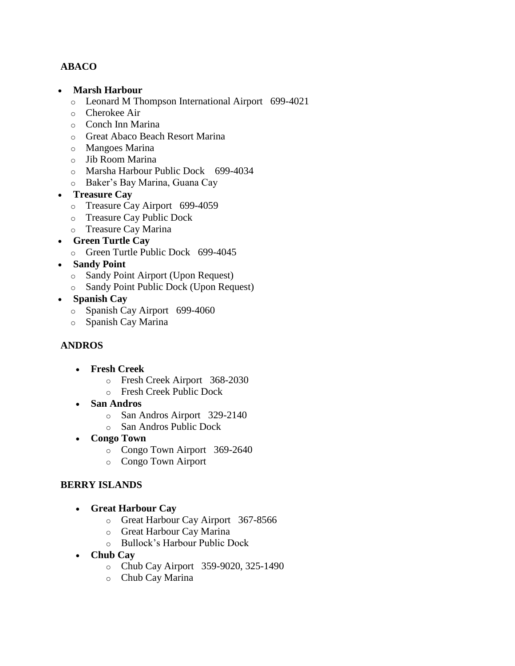# **ABACO**

- **Marsh Harbour**
	- o Leonard M Thompson International Airport 699-4021
	- o Cherokee Air
	- o Conch Inn Marina
	- o Great Abaco Beach Resort Marina
	- o Mangoes Marina
	- o Jib Room Marina
	- o Marsha Harbour Public Dock 699-4034
	- o Baker's Bay Marina, Guana Cay
- **Treasure Cay**
	- o Treasure Cay Airport 699-4059
	- o Treasure Cay Public Dock
	- o Treasure Cay Marina
- **Green Turtle Cay**
	- o Green Turtle Public Dock 699-4045
- **Sandy Point**
	- o Sandy Point Airport (Upon Request)
	- o Sandy Point Public Dock (Upon Request)
- **Spanish Cay**
	- o Spanish Cay Airport 699-4060
	- o Spanish Cay Marina

## **ANDROS**

- **Fresh Creek**
	- o Fresh Creek Airport 368-2030
	- o Fresh Creek Public Dock
- **San Andros**
	- o San Andros Airport 329-2140
	- o San Andros Public Dock
- **Congo Town**
	- o Congo Town Airport 369-2640
	- o Congo Town Airport

#### **BERRY ISLANDS**

- **Great Harbour Cay** 
	- o Great Harbour Cay Airport 367-8566
	- o Great Harbour Cay Marina
	- o Bullock's Harbour Public Dock
- **Chub Cay**
	- o Chub Cay Airport 359-9020, 325-1490
	- o Chub Cay Marina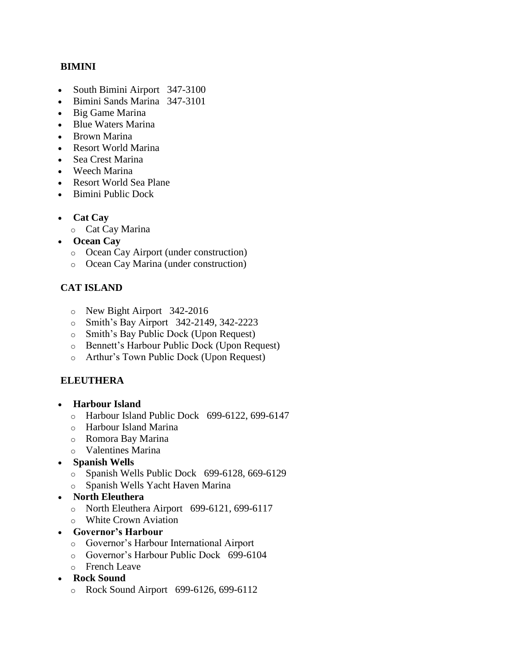#### **BIMINI**

- South Bimini Airport 347-3100
- Bimini Sands Marina 347-3101
- Big Game Marina
- Blue Waters Marina
- Brown Marina
- Resort World Marina
- Sea Crest Marina
- Weech Marina
- Resort World Sea Plane
- Bimini Public Dock
- **Cat Cay** 
	- o Cat Cay Marina
- **Ocean Cay**
	- o Ocean Cay Airport (under construction)
	- o Ocean Cay Marina (under construction)

## **CAT ISLAND**

- o New Bight Airport 342-2016
- o Smith's Bay Airport 342-2149, 342-2223
- o Smith's Bay Public Dock (Upon Request)
- o Bennett's Harbour Public Dock (Upon Request)
- o Arthur's Town Public Dock (Upon Request)

## **ELEUTHERA**

- **Harbour Island** 
	- o Harbour Island Public Dock 699-6122, 699-6147
	- o Harbour Island Marina
	- o Romora Bay Marina
	- o Valentines Marina
- **Spanish Wells**
	- o Spanish Wells Public Dock 699-6128, 669-6129
	- o Spanish Wells Yacht Haven Marina

#### **North Eleuthera**

- o North Eleuthera Airport 699-6121, 699-6117
- o White Crown Aviation
- **Governor's Harbour**
	- o Governor's Harbour International Airport
	- o Governor's Harbour Public Dock 699-6104
	- o French Leave
- **Rock Sound**
	- o Rock Sound Airport 699-6126, 699-6112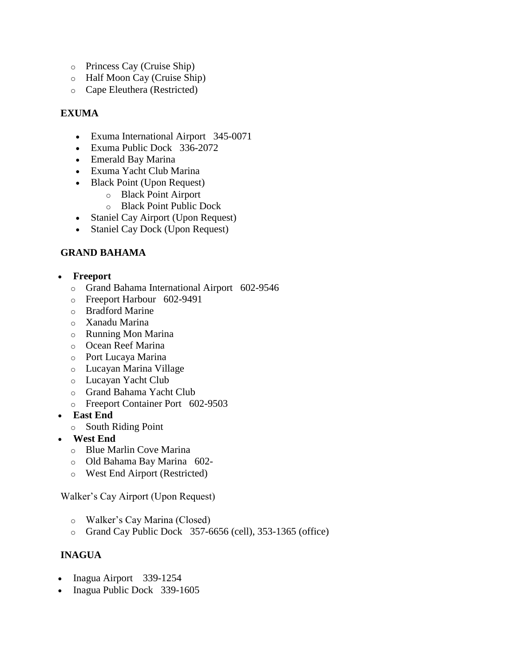- o Princess Cay (Cruise Ship)
- o Half Moon Cay (Cruise Ship)
- o Cape Eleuthera (Restricted)

# **EXUMA**

- Exuma International Airport 345-0071
- Exuma Public Dock 336-2072
- Emerald Bay Marina
- Exuma Yacht Club Marina
- Black Point (Upon Request)
	- o Black Point Airport
	- o Black Point Public Dock
- Staniel Cay Airport (Upon Request)
- Staniel Cay Dock (Upon Request)

## **GRAND BAHAMA**

- **Freeport** 
	- o Grand Bahama International Airport 602-9546
	- o Freeport Harbour 602-9491
	- o Bradford Marine
	- o Xanadu Marina
	- o Running Mon Marina
	- o Ocean Reef Marina
	- o Port Lucaya Marina
	- o Lucayan Marina Village
	- o Lucayan Yacht Club
	- o Grand Bahama Yacht Club
	- o Freeport Container Port 602-9503
- **East End**
	- o South Riding Point
- **West End**
	- o Blue Marlin Cove Marina
	- o Old Bahama Bay Marina 602-
	- o West End Airport (Restricted)

## Walker's Cay Airport (Upon Request)

- o Walker's Cay Marina (Closed)
- o Grand Cay Public Dock 357-6656 (cell), 353-1365 (office)

# **INAGUA**

- Inagua Airport 339-1254
- Inagua Public Dock 339-1605